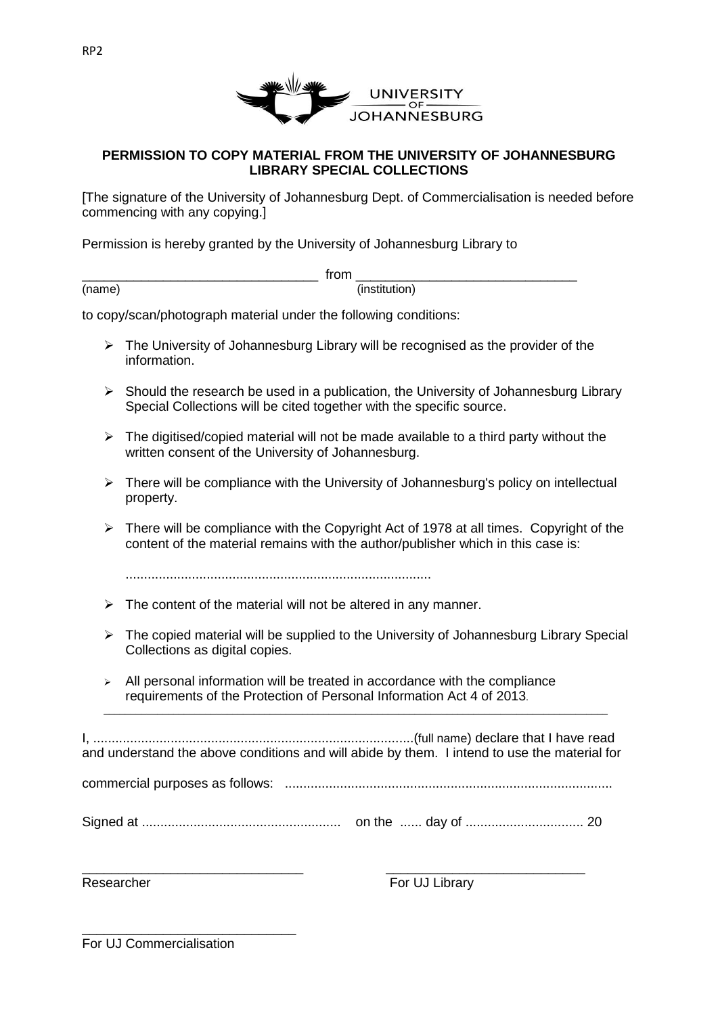

## **PERMISSION TO COPY MATERIAL FROM THE UNIVERSITY OF JOHANNESBURG LIBRARY SPECIAL COLLECTIONS**

[The signature of the University of Johannesburg Dept. of Commercialisation is needed before commencing with any copying.]

Permission is hereby granted by the University of Johannesburg Library to

(name) (institution)

 $\blacksquare$  from  $\blacksquare$ 

to copy/scan/photograph material under the following conditions:

- $\triangleright$  The University of Johannesburg Library will be recognised as the provider of the information.
- $\triangleright$  Should the research be used in a publication, the University of Johannesburg Library Special Collections will be cited together with the specific source.
- $\triangleright$  The digitised/copied material will not be made available to a third party without the written consent of the University of Johannesburg.
- $\triangleright$  There will be compliance with the University of Johannesburg's policy on intellectual property.
- $\triangleright$  There will be compliance with the Copyright Act of 1978 at all times. Copyright of the content of the material remains with the author/publisher which in this case is:

...................................................................................

- $\triangleright$  The content of the material will not be altered in any manner.
- $\triangleright$  The copied material will be supplied to the University of Johannesburg Library Special Collections as digital copies.
- $\triangleright$  All personal information will be treated in accordance with the compliance requirements of the Protection of Personal Information Act 4 of 2013.

I, .......................................................................................(full name) declare that I have read and understand the above conditions and will abide by them. I intend to use the material for

 $\_$  ,  $\_$  ,  $\_$  ,  $\_$  ,  $\_$  ,  $\_$  ,  $\_$  ,  $\_$  ,  $\_$  ,  $\_$  ,  $\_$  ,  $\_$  ,  $\_$  ,  $\_$  ,  $\_$  ,  $\_$  ,  $\_$  ,  $\_$  ,  $\_$  ,  $\_$  ,  $\_$  ,  $\_$  ,  $\_$  ,  $\_$  ,  $\_$  ,  $\_$  ,  $\_$  ,  $\_$  ,  $\_$  ,  $\_$  ,  $\_$  ,  $\_$  ,  $\_$  ,  $\_$  ,  $\_$  ,  $\_$  ,  $\_$  ,

commercial purposes as follows: .........................................................................................

Signed at ...................................................... on the ...... day of ................................ 20

\_\_\_\_\_\_\_\_\_\_\_\_\_\_\_\_\_\_\_\_\_\_\_\_\_\_\_\_\_\_ \_\_\_\_\_\_\_\_\_\_\_\_\_\_\_\_\_\_\_\_\_\_\_\_\_\_\_

Researcher For UJ Library

\_\_\_\_\_\_\_\_\_\_\_\_\_\_\_\_\_\_\_\_\_\_\_\_\_\_\_\_\_ For UJ Commercialisation